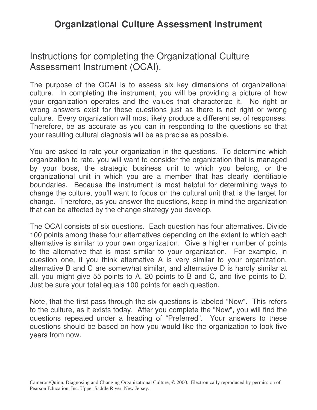# **Organizational Culture Assessment Instrument**

# Instructions for completing the Organizational Culture Assessment Instrument (OCAI).

The purpose of the OCAI is to assess six key dimensions of organizational culture. In completing the instrument, you will be providing a picture of how your organization operates and the values that characterize it. No right or wrong answers exist for these questions just as there is not right or wrong culture. Every organization will most likely produce a different set of responses. Therefore, be as accurate as you can in responding to the questions so that your resulting cultural diagnosis will be as precise as possible.

You are asked to rate your organization in the questions. To determine which organization to rate, you will want to consider the organization that is managed by your boss, the strategic business unit to which you belong, or the organizational unit in which you are a member that has clearly identifiable boundaries. Because the instrument is most helpful for determining ways to change the culture, you'll want to focus on the cultural unit that is the target for change. Therefore, as you answer the questions, keep in mind the organization that can be affected by the change strategy you develop.

The OCAI consists of six questions. Each question has four alternatives. Divide 100 points among these four alternatives depending on the extent to which each alternative is similar to your own organization. Give a higher number of points to the alternative that is most similar to your organization. For example, in question one, if you think alternative A is very similar to your organization, alternative B and C are somewhat similar, and alternative D is hardly similar at all, you might give 55 points to A, 20 points to B and C, and five points to D. Just be sure your total equals 100 points for each question.

Note, that the first pass through the six questions is labeled "Now". This refers to the culture, as it exists today. After you complete the "Now", you will find the questions repeated under a heading of "Preferred". Your answers to these questions should be based on how you would like the organization to look five years from now.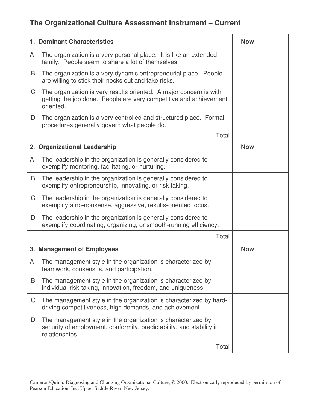# **The Organizational Culture Assessment Instrument – Current**

|   | <b>1. Dominant Characteristics</b>                                                                                                                     | <b>Now</b> |  |
|---|--------------------------------------------------------------------------------------------------------------------------------------------------------|------------|--|
| A | The organization is a very personal place. It is like an extended<br>family. People seem to share a lot of themselves.                                 |            |  |
| B | The organization is a very dynamic entrepreneurial place. People<br>are willing to stick their necks out and take risks.                               |            |  |
| C | The organization is very results oriented. A major concern is with<br>getting the job done. People are very competitive and achievement<br>oriented.   |            |  |
| D | The organization is a very controlled and structured place. Formal<br>procedures generally govern what people do.                                      |            |  |
|   | Total                                                                                                                                                  |            |  |
|   | 2. Organizational Leadership                                                                                                                           | <b>Now</b> |  |
| A | The leadership in the organization is generally considered to<br>exemplify mentoring, facilitating, or nurturing.                                      |            |  |
| B | The leadership in the organization is generally considered to<br>exemplify entrepreneurship, innovating, or risk taking.                               |            |  |
| C | The leadership in the organization is generally considered to<br>exemplify a no-nonsense, aggressive, results-oriented focus.                          |            |  |
| D | The leadership in the organization is generally considered to<br>exemplify coordinating, organizing, or smooth-running efficiency.                     |            |  |
|   | Total                                                                                                                                                  |            |  |
|   | 3. Management of Employees                                                                                                                             | <b>Now</b> |  |
| A | The management style in the organization is characterized by<br>teamwork, consensus, and participation.                                                |            |  |
| B | The management style in the organization is characterized by<br>individual risk-taking, innovation, freedom, and uniqueness.                           |            |  |
| C | The management style in the organization is characterized by hard-<br>driving competitiveness, high demands, and achievement.                          |            |  |
| D | The management style in the organization is characterized by<br>security of employment, conformity, predictability, and stability in<br>relationships. |            |  |
|   | Total                                                                                                                                                  |            |  |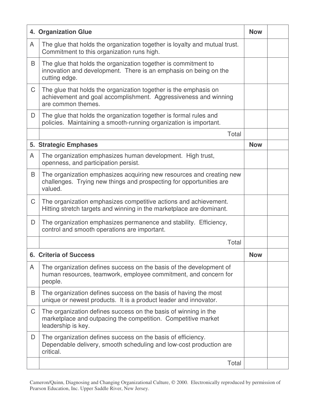|   | 4. Organization Glue                                                                                                                                      | <b>Now</b> |  |
|---|-----------------------------------------------------------------------------------------------------------------------------------------------------------|------------|--|
| A | The glue that holds the organization together is loyalty and mutual trust.<br>Commitment to this organization runs high.                                  |            |  |
| B | The glue that holds the organization together is commitment to<br>innovation and development. There is an emphasis on being on the<br>cutting edge.       |            |  |
| C | The glue that holds the organization together is the emphasis on<br>achievement and goal accomplishment. Aggressiveness and winning<br>are common themes. |            |  |
| D | The glue that holds the organization together is formal rules and<br>policies. Maintaining a smooth-running organization is important.                    |            |  |
|   | Total                                                                                                                                                     |            |  |
|   | 5. Strategic Emphases                                                                                                                                     | <b>Now</b> |  |
| A | The organization emphasizes human development. High trust,<br>openness, and participation persist.                                                        |            |  |
| B | The organization emphasizes acquiring new resources and creating new<br>challenges. Trying new things and prospecting for opportunities are<br>valued.    |            |  |
| C | The organization emphasizes competitive actions and achievement.<br>Hitting stretch targets and winning in the marketplace are dominant.                  |            |  |
| D | The organization emphasizes permanence and stability. Efficiency,<br>control and smooth operations are important.                                         |            |  |
|   | Total                                                                                                                                                     |            |  |
|   | <b>6. Criteria of Success</b>                                                                                                                             | <b>Now</b> |  |
| A | The organization defines success on the basis of the development of<br>human resources, teamwork, employee commitment, and concern for<br>people.         |            |  |
| B | The organization defines success on the basis of having the most<br>unique or newest products. It is a product leader and innovator.                      |            |  |
| C | The organization defines success on the basis of winning in the<br>marketplace and outpacing the competition. Competitive market<br>leadership is key.    |            |  |
| D | The organization defines success on the basis of efficiency.<br>Dependable delivery, smooth scheduling and low-cost production are<br>critical.           |            |  |
|   | Total                                                                                                                                                     |            |  |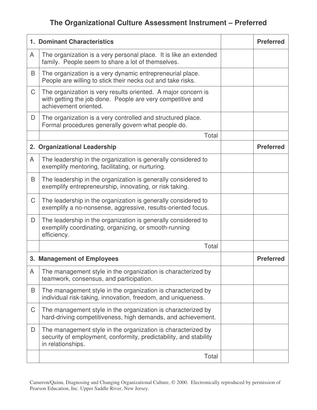# **The Organizational Culture Assessment Instrument – Preferred**

|             | <b>1. Dominant Characteristics</b>                                                                                                                     | <b>Preferred</b> |
|-------------|--------------------------------------------------------------------------------------------------------------------------------------------------------|------------------|
| A           | The organization is a very personal place. It is like an extended<br>family. People seem to share a lot of themselves.                                 |                  |
| B           | The organization is a very dynamic entrepreneurial place.<br>People are willing to stick their necks out and take risks.                               |                  |
| C           | The organization is very results oriented. A major concern is<br>with getting the job done. People are very competitive and<br>achievement oriented.   |                  |
| D           | The organization is a very controlled and structured place.<br>Formal procedures generally govern what people do.                                      |                  |
|             | Total                                                                                                                                                  |                  |
|             | 2. Organizational Leadership                                                                                                                           | <b>Preferred</b> |
| A           | The leadership in the organization is generally considered to<br>exemplify mentoring, facilitating, or nurturing.                                      |                  |
| B           | The leadership in the organization is generally considered to<br>exemplify entrepreneurship, innovating, or risk taking.                               |                  |
| $\mathsf C$ | The leadership in the organization is generally considered to<br>exemplify a no-nonsense, aggressive, results-oriented focus.                          |                  |
| D           | The leadership in the organization is generally considered to<br>exemplify coordinating, organizing, or smooth-running<br>efficiency.                  |                  |
|             | Total                                                                                                                                                  |                  |
|             | 3. Management of Employees                                                                                                                             | <b>Preferred</b> |
| A           | The management style in the organization is characterized by<br>teamwork, consensus, and participation.                                                |                  |
| B           | The management style in the organization is characterized by<br>individual risk-taking, innovation, freedom, and uniqueness.                           |                  |
| C           | The management style in the organization is characterized by<br>hard-driving competitiveness, high demands, and achievement.                           |                  |
| D           | The management style in the organization is characterized by<br>security of employment, conformity, predictability, and stability<br>in relationships. |                  |
|             | Total                                                                                                                                                  |                  |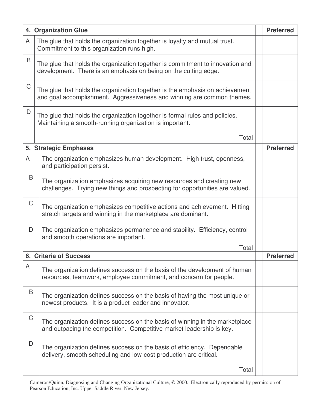|             | 4. Organization Glue                                                                                                                                   | <b>Preferred</b> |
|-------------|--------------------------------------------------------------------------------------------------------------------------------------------------------|------------------|
| A           | The glue that holds the organization together is loyalty and mutual trust.<br>Commitment to this organization runs high.                               |                  |
| B           | The glue that holds the organization together is commitment to innovation and<br>development. There is an emphasis on being on the cutting edge.       |                  |
| $\mathsf C$ | The glue that holds the organization together is the emphasis on achievement<br>and goal accomplishment. Aggressiveness and winning are common themes. |                  |
| D           | The glue that holds the organization together is formal rules and policies.<br>Maintaining a smooth-running organization is important.                 |                  |
|             | Total                                                                                                                                                  |                  |
|             | 5. Strategic Emphases                                                                                                                                  | <b>Preferred</b> |
| A           | The organization emphasizes human development. High trust, openness,<br>and participation persist.                                                     |                  |
| B           | The organization emphasizes acquiring new resources and creating new<br>challenges. Trying new things and prospecting for opportunities are valued.    |                  |
| $\mathsf C$ | The organization emphasizes competitive actions and achievement. Hitting<br>stretch targets and winning in the marketplace are dominant.               |                  |
| D           | The organization emphasizes permanence and stability. Efficiency, control<br>and smooth operations are important.                                      |                  |
|             | Total                                                                                                                                                  |                  |
| 6.          | <b>Criteria of Success</b>                                                                                                                             | <b>Preferred</b> |
| A           | The organization defines success on the basis of the development of human<br>resources, teamwork, employee commitment, and concern for people.         |                  |
| B           | The organization defines success on the basis of having the most unique or<br>newest products. It is a product leader and innovator.                   |                  |
| $\mathsf C$ | The organization defines success on the basis of winning in the marketplace<br>and outpacing the competition. Competitive market leadership is key.    |                  |
| D           | The organization defines success on the basis of efficiency. Dependable<br>delivery, smooth scheduling and low-cost production are critical.           |                  |
|             | Total                                                                                                                                                  |                  |

Cameron/Quinn, Diagnosing and Changing Organizational Culture,  $@$  2000. Electronically reproduced by permission of Pearson Education, Inc. Upper Saddle River, New Jersey.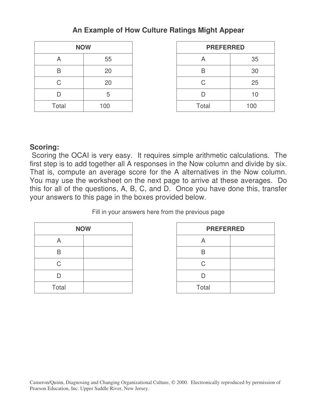### **An Example of How Culture Ratings Might Appear**

| <b>NOW</b> |     |  |  |  |  |
|------------|-----|--|--|--|--|
| А          | 55  |  |  |  |  |
| B          | 20  |  |  |  |  |
| C          | 20  |  |  |  |  |
| D          | 5   |  |  |  |  |
| Total      | 100 |  |  |  |  |

| <b>NOW</b>              |     | <b>PREFERRED</b> |     |
|-------------------------|-----|------------------|-----|
| $\overline{\mathsf{A}}$ | 55  | A                | 35  |
| Β                       | 20  | B                | 30  |
| С                       | 20  |                  | 25  |
|                         | 5   |                  | 10  |
| Total                   | 100 | Total            | 100 |

### **Scoring:**

Scoring the OCAI is very easy. It requires simple arithmetic calculations. The first step is to add together all A responses in the Now column and divide by six. That is, compute an average score for the A alternatives in the Now column. You may use the worksheet on the next page to arrive at these averages. Do this for all of the questions, A, B, C, and D. Once you have done this, transfer your answers to this page in the boxes provided below.

Fill in your answers here from the previous page

|       | <b>NOW</b> | Ρ     |
|-------|------------|-------|
| A     |            |       |
| R     |            |       |
| C     |            | ∍     |
| D     |            |       |
| Total |            | Total |

| <b>NOW</b> | <b>PREFERRED</b> |  |
|------------|------------------|--|
|            |                  |  |
|            |                  |  |
|            | ∩.               |  |
|            |                  |  |
|            | Total            |  |

Cameron/Quinn, Diagnosing and Changing Organizational Culture,  $\odot$  2000. Electronically reproduced by permission of Pearson Education, Inc. Upper Saddle River, New Jersey.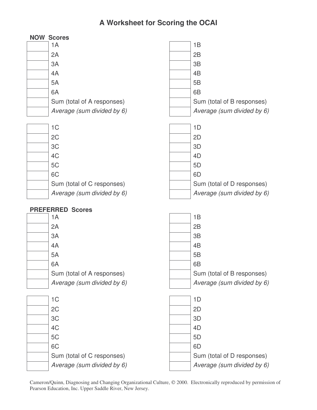# **A Worksheet for Scoring the OCAI**

| <b>NOW Scores</b>             |                            |
|-------------------------------|----------------------------|
| 1A                            | 1B                         |
| 2A                            | 2B                         |
| 3A                            | 3B                         |
| 4A                            | 4B                         |
| 5A                            | 5B                         |
| 6A                            | 6B                         |
| Sum (total of A responses)    | Sum (total of B responses) |
| Average (sum divided by 6)    | Average (sum divided by 6) |
|                               |                            |
| 1 <sup>C</sup>                | 1D                         |
| 2C                            | 2D                         |
| 3C                            | 3D                         |
| 4C                            | 4D                         |
| 5C                            | 5D                         |
| 6C                            | 6D                         |
| Sum (total of C responses)    | Sum (total of D responses) |
| Average (sum divided by 6)    | Average (sum divided by 6) |
|                               |                            |
|                               |                            |
| <b>PREFERRED Scores</b><br>1A | 1B                         |
| 2A                            | 2B                         |
| 3A                            | 3B                         |
| 4A                            | 4B                         |
| 5A                            | 5B                         |
| 6A                            | 6B                         |
| Sum (total of A responses)    | Sum (total of B responses) |
| Average (sum divided by 6)    | Average (sum divided by 6) |
|                               |                            |
| 1 <sup>C</sup>                | 1D                         |
| 2C                            | 2D                         |
| 3C                            | 3D                         |
| 4C                            | 4D                         |
| 5C                            | 5D                         |
| 6C                            | 6D                         |
| Sum (total of C responses)    | Sum (total of D responses) |

Cameron/Quinn, Diagnosing and Changing Organizational Culture,  $@$  2000. Electronically reproduced by permission of Pearson Education, Inc. Upper Saddle River, New Jersey.